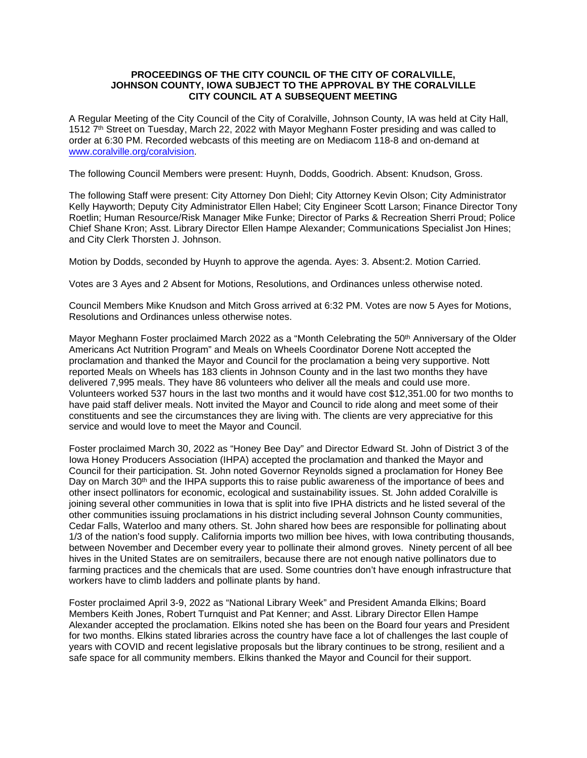## **PROCEEDINGS OF THE CITY COUNCIL OF THE CITY OF CORALVILLE, JOHNSON COUNTY, IOWA SUBJECT TO THE APPROVAL BY THE CORALVILLE CITY COUNCIL AT A SUBSEQUENT MEETING**

A Regular Meeting of the City Council of the City of Coralville, Johnson County, IA was held at City Hall, 1512 7<sup>th</sup> Street on Tuesday, March 22, 2022 with Mayor Meghann Foster presiding and was called to order at 6:30 PM. Recorded webcasts of this meeting are on Mediacom 118-8 and on-demand at [www.coralville.org/coralvision.](http://www.coralville.org/coralvision)

The following Council Members were present: Huynh, Dodds, Goodrich. Absent: Knudson, Gross.

The following Staff were present: City Attorney Don Diehl; City Attorney Kevin Olson; City Administrator Kelly Hayworth; Deputy City Administrator Ellen Habel; City Engineer Scott Larson; Finance Director Tony Roetlin; Human Resource/Risk Manager Mike Funke; Director of Parks & Recreation Sherri Proud; Police Chief Shane Kron; Asst. Library Director Ellen Hampe Alexander; Communications Specialist Jon Hines; and City Clerk Thorsten J. Johnson.

Motion by Dodds, seconded by Huynh to approve the agenda. Ayes: 3. Absent:2. Motion Carried.

Votes are 3 Ayes and 2 Absent for Motions, Resolutions, and Ordinances unless otherwise noted.

Council Members Mike Knudson and Mitch Gross arrived at 6:32 PM. Votes are now 5 Ayes for Motions, Resolutions and Ordinances unless otherwise notes.

Mayor Meghann Foster proclaimed March 2022 as a "Month Celebrating the 50<sup>th</sup> Anniversary of the Older Americans Act Nutrition Program" and Meals on Wheels Coordinator Dorene Nott accepted the proclamation and thanked the Mayor and Council for the proclamation a being very supportive. Nott reported Meals on Wheels has 183 clients in Johnson County and in the last two months they have delivered 7,995 meals. They have 86 volunteers who deliver all the meals and could use more. Volunteers worked 537 hours in the last two months and it would have cost \$12,351.00 for two months to have paid staff deliver meals. Nott invited the Mayor and Council to ride along and meet some of their constituents and see the circumstances they are living with. The clients are very appreciative for this service and would love to meet the Mayor and Council.

Foster proclaimed March 30, 2022 as "Honey Bee Day" and Director Edward St. John of District 3 of the Iowa Honey Producers Association (IHPA) accepted the proclamation and thanked the Mayor and Council for their participation. St. John noted Governor Reynolds signed a proclamation for Honey Bee Day on March 30<sup>th</sup> and the IHPA supports this to raise public awareness of the importance of bees and other insect pollinators for economic, ecological and sustainability issues. St. John added Coralville is joining several other communities in Iowa that is split into five IPHA districts and he listed several of the other communities issuing proclamations in his district including several Johnson County communities, Cedar Falls, Waterloo and many others. St. John shared how bees are responsible for pollinating about 1/3 of the nation's food supply. California imports two million bee hives, with Iowa contributing thousands, between November and December every year to pollinate their almond groves. Ninety percent of all bee hives in the United States are on semitrailers, because there are not enough native pollinators due to farming practices and the chemicals that are used. Some countries don't have enough infrastructure that workers have to climb ladders and pollinate plants by hand.

Foster proclaimed April 3-9, 2022 as "National Library Week" and President Amanda Elkins; Board Members Keith Jones, Robert Turnquist and Pat Kenner; and Asst. Library Director Ellen Hampe Alexander accepted the proclamation. Elkins noted she has been on the Board four years and President for two months. Elkins stated libraries across the country have face a lot of challenges the last couple of years with COVID and recent legislative proposals but the library continues to be strong, resilient and a safe space for all community members. Elkins thanked the Mayor and Council for their support.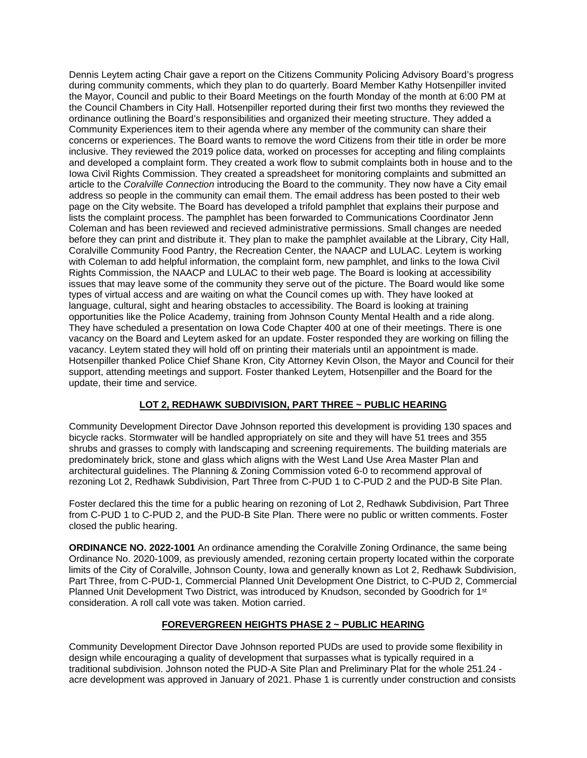Dennis Leytem acting Chair gave a report on the Citizens Community Policing Advisory Board's progress during community comments, which they plan to do quarterly. Board Member Kathy Hotsenpiller invited the Mayor, Council and public to their Board Meetings on the fourth Monday of the month at 6:00 PM at the Council Chambers in City Hall. Hotsenpiller reported during their first two months they reviewed the ordinance outlining the Board's responsibilities and organized their meeting structure. They added a Community Experiences item to their agenda where any member of the community can share their concerns or experiences. The Board wants to remove the word Citizens from their title in order be more inclusive. They reviewed the 2019 police data, worked on processes for accepting and filing complaints and developed a complaint form. They created a work flow to submit complaints both in house and to the Iowa Civil Rights Commission. They created a spreadsheet for monitoring complaints and submitted an article to the *Coralville Connection* introducing the Board to the community. They now have a City email address so people in the community can email them. The email address has been posted to their web page on the City website. The Board has developed a trifold pamphlet that explains their purpose and lists the complaint process. The pamphlet has been forwarded to Communications Coordinator Jenn Coleman and has been reviewed and recieved administrative permissions. Small changes are needed before they can print and distribute it. They plan to make the pamphlet available at the Library, City Hall, Coralville Community Food Pantry, the Recreation Center, the NAACP and LULAC. Leytem is working with Coleman to add helpful information, the complaint form, new pamphlet, and links to the Iowa Civil Rights Commission, the NAACP and LULAC to their web page. The Board is looking at accessibility issues that may leave some of the community they serve out of the picture. The Board would like some types of virtual access and are waiting on what the Council comes up with. They have looked at language, cultural, sight and hearing obstacles to accessibility. The Board is looking at training opportunities like the Police Academy, training from Johnson County Mental Health and a ride along. They have scheduled a presentation on Iowa Code Chapter 400 at one of their meetings. There is one vacancy on the Board and Leytem asked for an update. Foster responded they are working on filling the vacancy. Leytem stated they will hold off on printing their materials until an appointment is made. Hotsenpiller thanked Police Chief Shane Kron, City Attorney Kevin Olson, the Mayor and Council for their support, attending meetings and support. Foster thanked Leytem, Hotsenpiller and the Board for the update, their time and service.

# **LOT 2, REDHAWK SUBDIVISION, PART THREE ~ PUBLIC HEARING**

Community Development Director Dave Johnson reported this development is providing 130 spaces and bicycle racks. Stormwater will be handled appropriately on site and they will have 51 trees and 355 shrubs and grasses to comply with landscaping and screening requirements. The building materials are predominately brick, stone and glass which aligns with the West Land Use Area Master Plan and architectural guidelines. The Planning & Zoning Commission voted 6-0 to recommend approval of rezoning Lot 2, Redhawk Subdivision, Part Three from C-PUD 1 to C-PUD 2 and the PUD-B Site Plan.

Foster declared this the time for a public hearing on rezoning of Lot 2, Redhawk Subdivision, Part Three from C-PUD 1 to C-PUD 2, and the PUD-B Site Plan. There were no public or written comments. Foster closed the public hearing.

**ORDINANCE NO. 2022-1001** An ordinance amending the Coralville Zoning Ordinance, the same being Ordinance No. 2020-1009, as previously amended, rezoning certain property located within the corporate limits of the City of Coralville, Johnson County, Iowa and generally known as Lot 2, Redhawk Subdivision, Part Three, from C-PUD-1, Commercial Planned Unit Development One District, to C-PUD 2, Commercial Planned Unit Development Two District, was introduced by Knudson, seconded by Goodrich for 1<sup>st</sup> consideration. A roll call vote was taken. Motion carried.

## **FOREVERGREEN HEIGHTS PHASE 2 ~ PUBLIC HEARING**

Community Development Director Dave Johnson reported PUDs are used to provide some flexibility in design while encouraging a quality of development that surpasses what is typically required in a traditional subdivision. Johnson noted the PUD-A Site Plan and Preliminary Plat for the whole 251.24 acre development was approved in January of 2021. Phase 1 is currently under construction and consists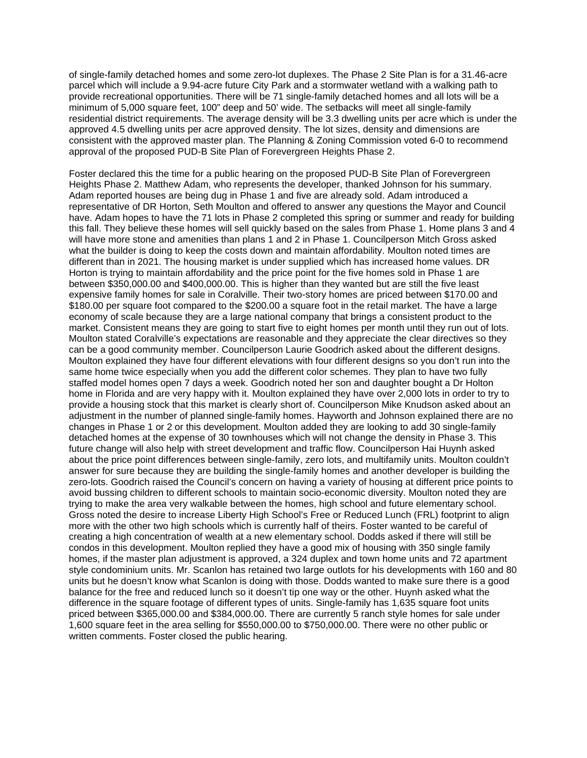of single-family detached homes and some zero-lot duplexes. The Phase 2 Site Plan is for a 31.46-acre parcel which will include a 9.94-acre future City Park and a stormwater wetland with a walking path to provide recreational opportunities. There will be 71 single-family detached homes and all lots will be a minimum of 5,000 square feet, 100" deep and 50' wide. The setbacks will meet all single-family residential district requirements. The average density will be 3.3 dwelling units per acre which is under the approved 4.5 dwelling units per acre approved density. The lot sizes, density and dimensions are consistent with the approved master plan. The Planning & Zoning Commission voted 6-0 to recommend approval of the proposed PUD-B Site Plan of Forevergreen Heights Phase 2.

Foster declared this the time for a public hearing on the proposed PUD-B Site Plan of Forevergreen Heights Phase 2. Matthew Adam, who represents the developer, thanked Johnson for his summary. Adam reported houses are being dug in Phase 1 and five are already sold. Adam introduced a representative of DR Horton, Seth Moulton and offered to answer any questions the Mayor and Council have. Adam hopes to have the 71 lots in Phase 2 completed this spring or summer and ready for building this fall. They believe these homes will sell quickly based on the sales from Phase 1. Home plans 3 and 4 will have more stone and amenities than plans 1 and 2 in Phase 1. Councilperson Mitch Gross asked what the builder is doing to keep the costs down and maintain affordability. Moulton noted times are different than in 2021. The housing market is under supplied which has increased home values. DR Horton is trying to maintain affordability and the price point for the five homes sold in Phase 1 are between \$350,000.00 and \$400,000.00. This is higher than they wanted but are still the five least expensive family homes for sale in Coralville. Their two-story homes are priced between \$170.00 and \$180.00 per square foot compared to the \$200.00 a square foot in the retail market. The have a large economy of scale because they are a large national company that brings a consistent product to the market. Consistent means they are going to start five to eight homes per month until they run out of lots. Moulton stated Coralville's expectations are reasonable and they appreciate the clear directives so they can be a good community member. Councilperson Laurie Goodrich asked about the different designs. Moulton explained they have four different elevations with four different designs so you don't run into the same home twice especially when you add the different color schemes. They plan to have two fully staffed model homes open 7 days a week. Goodrich noted her son and daughter bought a Dr Holton home in Florida and are very happy with it. Moulton explained they have over 2,000 lots in order to try to provide a housing stock that this market is clearly short of. Councilperson Mike Knudson asked about an adjustment in the number of planned single-family homes. Hayworth and Johnson explained there are no changes in Phase 1 or 2 or this development. Moulton added they are looking to add 30 single-family detached homes at the expense of 30 townhouses which will not change the density in Phase 3. This future change will also help with street development and traffic flow. Councilperson Hai Huynh asked about the price point differences between single-family, zero lots, and multifamily units. Moulton couldn't answer for sure because they are building the single-family homes and another developer is building the zero-lots. Goodrich raised the Council's concern on having a variety of housing at different price points to avoid bussing children to different schools to maintain socio-economic diversity. Moulton noted they are trying to make the area very walkable between the homes, high school and future elementary school. Gross noted the desire to increase Liberty High School's Free or Reduced Lunch (FRL) footprint to align more with the other two high schools which is currently half of theirs. Foster wanted to be careful of creating a high concentration of wealth at a new elementary school. Dodds asked if there will still be condos in this development. Moulton replied they have a good mix of housing with 350 single family homes, if the master plan adjustment is approved, a 324 duplex and town home units and 72 apartment style condominium units. Mr. Scanlon has retained two large outlots for his developments with 160 and 80 units but he doesn't know what Scanlon is doing with those. Dodds wanted to make sure there is a good balance for the free and reduced lunch so it doesn't tip one way or the other. Huynh asked what the difference in the square footage of different types of units. Single-family has 1,635 square foot units priced between \$365,000.00 and \$384,000.00. There are currently 5 ranch style homes for sale under 1,600 square feet in the area selling for \$550,000.00 to \$750,000.00. There were no other public or written comments. Foster closed the public hearing.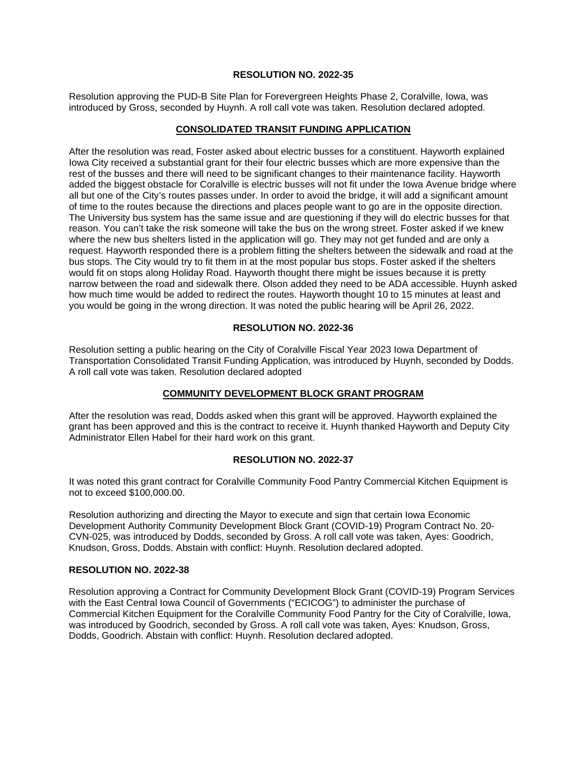## **RESOLUTION NO. 2022-35**

Resolution approving the PUD-B Site Plan for Forevergreen Heights Phase 2, Coralville, Iowa, was introduced by Gross, seconded by Huynh. A roll call vote was taken. Resolution declared adopted.

## **CONSOLIDATED TRANSIT FUNDING APPLICATION**

After the resolution was read, Foster asked about electric busses for a constituent. Hayworth explained Iowa City received a substantial grant for their four electric busses which are more expensive than the rest of the busses and there will need to be significant changes to their maintenance facility. Hayworth added the biggest obstacle for Coralville is electric busses will not fit under the Iowa Avenue bridge where all but one of the City's routes passes under. In order to avoid the bridge, it will add a significant amount of time to the routes because the directions and places people want to go are in the opposite direction. The University bus system has the same issue and are questioning if they will do electric busses for that reason. You can't take the risk someone will take the bus on the wrong street. Foster asked if we knew where the new bus shelters listed in the application will go. They may not get funded and are only a request. Hayworth responded there is a problem fitting the shelters between the sidewalk and road at the bus stops. The City would try to fit them in at the most popular bus stops. Foster asked if the shelters would fit on stops along Holiday Road. Hayworth thought there might be issues because it is pretty narrow between the road and sidewalk there. Olson added they need to be ADA accessible. Huynh asked how much time would be added to redirect the routes. Hayworth thought 10 to 15 minutes at least and you would be going in the wrong direction. It was noted the public hearing will be April 26, 2022.

## **RESOLUTION NO. 2022-36**

Resolution setting a public hearing on the City of Coralville Fiscal Year 2023 Iowa Department of Transportation Consolidated Transit Funding Application, was introduced by Huynh, seconded by Dodds. A roll call vote was taken. Resolution declared adopted

## **COMMUNITY DEVELOPMENT BLOCK GRANT PROGRAM**

After the resolution was read, Dodds asked when this grant will be approved. Hayworth explained the grant has been approved and this is the contract to receive it. Huynh thanked Hayworth and Deputy City Administrator Ellen Habel for their hard work on this grant.

## **RESOLUTION NO. 2022-37**

It was noted this grant contract for Coralville Community Food Pantry Commercial Kitchen Equipment is not to exceed \$100,000.00.

Resolution authorizing and directing the Mayor to execute and sign that certain Iowa Economic Development Authority Community Development Block Grant (COVID-19) Program Contract No. 20- CVN-025, was introduced by Dodds, seconded by Gross. A roll call vote was taken, Ayes: Goodrich, Knudson, Gross, Dodds. Abstain with conflict: Huynh. Resolution declared adopted.

## **RESOLUTION NO. 2022-38**

Resolution approving a Contract for Community Development Block Grant (COVID-19) Program Services with the East Central Iowa Council of Governments ("ECICOG") to administer the purchase of Commercial Kitchen Equipment for the Coralville Community Food Pantry for the City of Coralville, Iowa, was introduced by Goodrich, seconded by Gross. A roll call vote was taken, Ayes: Knudson, Gross, Dodds, Goodrich. Abstain with conflict: Huynh. Resolution declared adopted.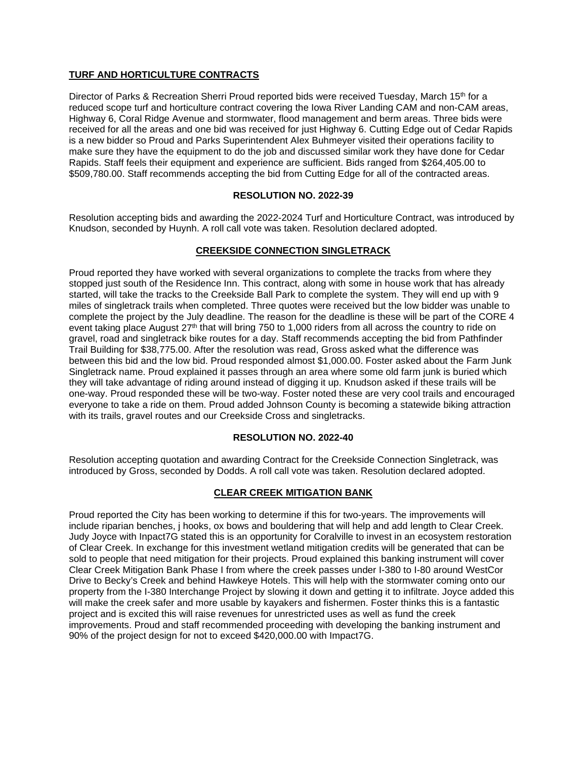# **TURF AND HORTICULTURE CONTRACTS**

Director of Parks & Recreation Sherri Proud reported bids were received Tuesday, March 15th for a reduced scope turf and horticulture contract covering the Iowa River Landing CAM and non-CAM areas, Highway 6, Coral Ridge Avenue and stormwater, flood management and berm areas. Three bids were received for all the areas and one bid was received for just Highway 6. Cutting Edge out of Cedar Rapids is a new bidder so Proud and Parks Superintendent Alex Buhmeyer visited their operations facility to make sure they have the equipment to do the job and discussed similar work they have done for Cedar Rapids. Staff feels their equipment and experience are sufficient. Bids ranged from \$264,405.00 to \$509,780.00. Staff recommends accepting the bid from Cutting Edge for all of the contracted areas.

## **RESOLUTION NO. 2022-39**

Resolution accepting bids and awarding the 2022-2024 Turf and Horticulture Contract, was introduced by Knudson, seconded by Huynh. A roll call vote was taken. Resolution declared adopted.

## **CREEKSIDE CONNECTION SINGLETRACK**

Proud reported they have worked with several organizations to complete the tracks from where they stopped just south of the Residence Inn. This contract, along with some in house work that has already started, will take the tracks to the Creekside Ball Park to complete the system. They will end up with 9 miles of singletrack trails when completed. Three quotes were received but the low bidder was unable to complete the project by the July deadline. The reason for the deadline is these will be part of the CORE 4 event taking place August 27<sup>th</sup> that will bring 750 to 1,000 riders from all across the country to ride on gravel, road and singletrack bike routes for a day. Staff recommends accepting the bid from Pathfinder Trail Building for \$38,775.00. After the resolution was read, Gross asked what the difference was between this bid and the low bid. Proud responded almost \$1,000.00. Foster asked about the Farm Junk Singletrack name. Proud explained it passes through an area where some old farm junk is buried which they will take advantage of riding around instead of digging it up. Knudson asked if these trails will be one-way. Proud responded these will be two-way. Foster noted these are very cool trails and encouraged everyone to take a ride on them. Proud added Johnson County is becoming a statewide biking attraction with its trails, gravel routes and our Creekside Cross and singletracks.

## **RESOLUTION NO. 2022-40**

Resolution accepting quotation and awarding Contract for the Creekside Connection Singletrack, was introduced by Gross, seconded by Dodds. A roll call vote was taken. Resolution declared adopted.

# **CLEAR CREEK MITIGATION BANK**

Proud reported the City has been working to determine if this for two-years. The improvements will include riparian benches, j hooks, ox bows and bouldering that will help and add length to Clear Creek. Judy Joyce with Inpact7G stated this is an opportunity for Coralville to invest in an ecosystem restoration of Clear Creek. In exchange for this investment wetland mitigation credits will be generated that can be sold to people that need mitigation for their projects. Proud explained this banking instrument will cover Clear Creek Mitigation Bank Phase I from where the creek passes under I-380 to I-80 around WestCor Drive to Becky's Creek and behind Hawkeye Hotels. This will help with the stormwater coming onto our property from the I-380 Interchange Project by slowing it down and getting it to infiltrate. Joyce added this will make the creek safer and more usable by kayakers and fishermen. Foster thinks this is a fantastic project and is excited this will raise revenues for unrestricted uses as well as fund the creek improvements. Proud and staff recommended proceeding with developing the banking instrument and 90% of the project design for not to exceed \$420,000.00 with Impact7G.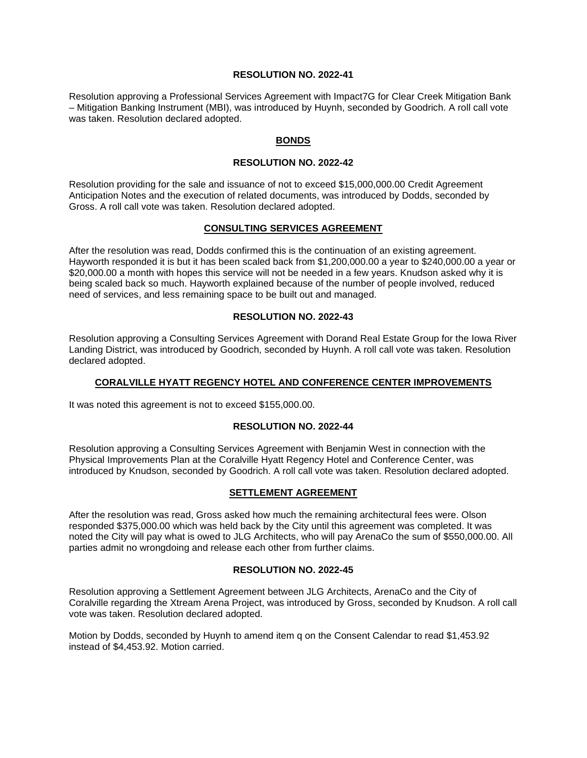## **RESOLUTION NO. 2022-41**

Resolution approving a Professional Services Agreement with Impact7G for Clear Creek Mitigation Bank – Mitigation Banking Instrument (MBI), was introduced by Huynh, seconded by Goodrich. A roll call vote was taken. Resolution declared adopted.

## **BONDS**

#### **RESOLUTION NO. 2022-42**

Resolution providing for the sale and issuance of not to exceed \$15,000,000.00 Credit Agreement Anticipation Notes and the execution of related documents, was introduced by Dodds, seconded by Gross. A roll call vote was taken. Resolution declared adopted.

### **CONSULTING SERVICES AGREEMENT**

After the resolution was read, Dodds confirmed this is the continuation of an existing agreement. Hayworth responded it is but it has been scaled back from \$1,200,000.00 a year to \$240,000.00 a year or \$20,000.00 a month with hopes this service will not be needed in a few years. Knudson asked why it is being scaled back so much. Hayworth explained because of the number of people involved, reduced need of services, and less remaining space to be built out and managed.

## **RESOLUTION NO. 2022-43**

Resolution approving a Consulting Services Agreement with Dorand Real Estate Group for the Iowa River Landing District, was introduced by Goodrich, seconded by Huynh. A roll call vote was taken. Resolution declared adopted.

## **CORALVILLE HYATT REGENCY HOTEL AND CONFERENCE CENTER IMPROVEMENTS**

It was noted this agreement is not to exceed \$155,000.00.

## **RESOLUTION NO. 2022-44**

Resolution approving a Consulting Services Agreement with Benjamin West in connection with the Physical Improvements Plan at the Coralville Hyatt Regency Hotel and Conference Center, was introduced by Knudson, seconded by Goodrich. A roll call vote was taken. Resolution declared adopted.

#### **SETTLEMENT AGREEMENT**

After the resolution was read, Gross asked how much the remaining architectural fees were. Olson responded \$375,000.00 which was held back by the City until this agreement was completed. It was noted the City will pay what is owed to JLG Architects, who will pay ArenaCo the sum of \$550,000.00. All parties admit no wrongdoing and release each other from further claims.

# **RESOLUTION NO. 2022-45**

Resolution approving a Settlement Agreement between JLG Architects, ArenaCo and the City of Coralville regarding the Xtream Arena Project, was introduced by Gross, seconded by Knudson. A roll call vote was taken. Resolution declared adopted.

Motion by Dodds, seconded by Huynh to amend item q on the Consent Calendar to read \$1,453.92 instead of \$4,453.92. Motion carried.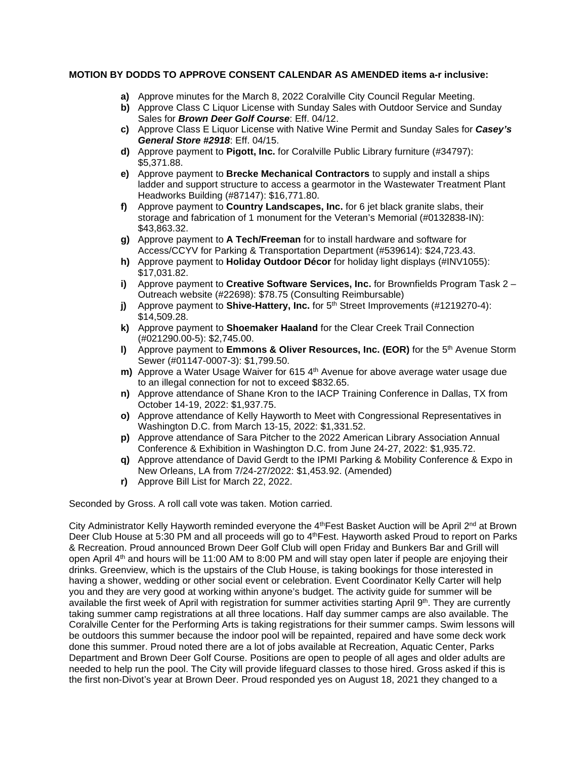## **MOTION BY DODDS TO APPROVE CONSENT CALENDAR AS AMENDED items a-r inclusive:**

- **a)** Approve minutes for the March 8, 2022 Coralville City Council Regular Meeting.
- **b)** Approve Class C Liquor License with Sunday Sales with Outdoor Service and Sunday Sales for *Brown Deer Golf Course*: Eff. 04/12.
- **c)** Approve Class E Liquor License with Native Wine Permit and Sunday Sales for *Casey's General Store #2918*: Eff. 04/15.
- **d)** Approve payment to **Pigott, Inc.** for Coralville Public Library furniture (#34797): \$5,371.88.
- **e)** Approve payment to **Brecke Mechanical Contractors** to supply and install a ships ladder and support structure to access a gearmotor in the Wastewater Treatment Plant Headworks Building (#87147): \$16,771.80.
- **f)** Approve payment to **Country Landscapes, Inc.** for 6 jet black granite slabs, their storage and fabrication of 1 monument for the Veteran's Memorial (#0132838-IN): \$43,863.32.
- **g)** Approve payment to **A Tech/Freeman** for to install hardware and software for Access/CCYV for Parking & Transportation Department (#539614): \$24,723.43.
- **h)** Approve payment to **Holiday Outdoor Décor** for holiday light displays (#INV1055): \$17,031.82.
- **i)** Approve payment to **Creative Software Services, Inc.** for Brownfields Program Task 2 Outreach website (#22698): \$78.75 (Consulting Reimbursable)
- **j)** Approve payment to **Shive-Hattery, Inc.** for 5<sup>th</sup> Street Improvements (#1219270-4): \$14,509.28.
- **k)** Approve payment to **Shoemaker Haaland** for the Clear Creek Trail Connection (#021290.00-5): \$2,745.00.
- **l)** Approve payment to **Emmons & Oliver Resources, Inc. (EOR)** for the 5<sup>th</sup> Avenue Storm Sewer (#01147-0007-3): \$1,799.50.
- **m)** Approve a Water Usage Waiver for 615 4<sup>th</sup> Avenue for above average water usage due to an illegal connection for not to exceed \$832.65.
- **n)** Approve attendance of Shane Kron to the IACP Training Conference in Dallas, TX from October 14-19, 2022: \$1,937.75.
- **o)** Approve attendance of Kelly Hayworth to Meet with Congressional Representatives in Washington D.C. from March 13-15, 2022: \$1,331.52.
- **p)** Approve attendance of Sara Pitcher to the 2022 American Library Association Annual Conference & Exhibition in Washington D.C. from June 24-27, 2022: \$1,935.72.
- **q)** Approve attendance of David Gerdt to the IPMI Parking & Mobility Conference & Expo in New Orleans, LA from 7/24-27/2022: \$1,453.92. (Amended)
- **r)** Approve Bill List for March 22, 2022.

Seconded by Gross. A roll call vote was taken. Motion carried.

City Administrator Kelly Hayworth reminded everyone the 4<sup>th</sup>Fest Basket Auction will be April 2<sup>nd</sup> at Brown Deer Club House at 5:30 PM and all proceeds will go to 4<sup>th</sup> Fest. Hayworth asked Proud to report on Parks & Recreation. Proud announced Brown Deer Golf Club will open Friday and Bunkers Bar and Grill will open April 4<sup>th</sup> and hours will be 11:00 AM to 8:00 PM and will stay open later if people are enjoying their drinks. Greenview, which is the upstairs of the Club House, is taking bookings for those interested in having a shower, wedding or other social event or celebration. Event Coordinator Kelly Carter will help you and they are very good at working within anyone's budget. The activity guide for summer will be available the first week of April with registration for summer activities starting April 9th. They are currently taking summer camp registrations at all three locations. Half day summer camps are also available. The Coralville Center for the Performing Arts is taking registrations for their summer camps. Swim lessons will be outdoors this summer because the indoor pool will be repainted, repaired and have some deck work done this summer. Proud noted there are a lot of jobs available at Recreation, Aquatic Center, Parks Department and Brown Deer Golf Course. Positions are open to people of all ages and older adults are needed to help run the pool. The City will provide lifeguard classes to those hired. Gross asked if this is the first non-Divot's year at Brown Deer. Proud responded yes on August 18, 2021 they changed to a